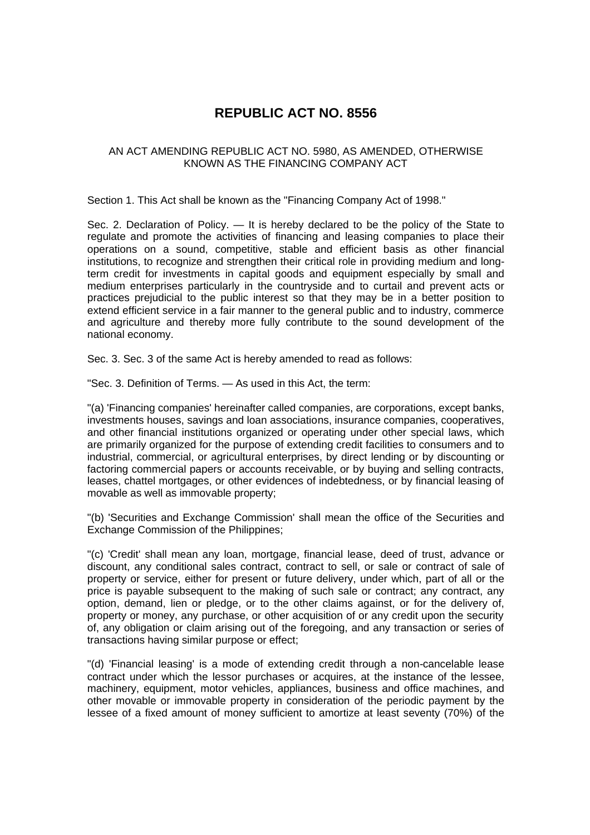## **REPUBLIC ACT NO. 8556**

## AN ACT AMENDING REPUBLIC ACT NO. 5980, AS AMENDED, OTHERWISE KNOWN AS THE FINANCING COMPANY ACT

Section 1. This Act shall be known as the "Financing Company Act of 1998."

Sec. 2. Declaration of Policy. — It is hereby declared to be the policy of the State to regulate and promote the activities of financing and leasing companies to place their operations on a sound, competitive, stable and efficient basis as other financial institutions, to recognize and strengthen their critical role in providing medium and longterm credit for investments in capital goods and equipment especially by small and medium enterprises particularly in the countryside and to curtail and prevent acts or practices prejudicial to the public interest so that they may be in a better position to extend efficient service in a fair manner to the general public and to industry, commerce and agriculture and thereby more fully contribute to the sound development of the national economy.

Sec. 3. Sec. 3 of the same Act is hereby amended to read as follows:

"Sec. 3. Definition of Terms. — As used in this Act, the term:

"(a) 'Financing companies' hereinafter called companies, are corporations, except banks, investments houses, savings and loan associations, insurance companies, cooperatives, and other financial institutions organized or operating under other special laws, which are primarily organized for the purpose of extending credit facilities to consumers and to industrial, commercial, or agricultural enterprises, by direct lending or by discounting or factoring commercial papers or accounts receivable, or by buying and selling contracts, leases, chattel mortgages, or other evidences of indebtedness, or by financial leasing of movable as well as immovable property;

"(b) 'Securities and Exchange Commission' shall mean the office of the Securities and Exchange Commission of the Philippines;

"(c) 'Credit' shall mean any loan, mortgage, financial lease, deed of trust, advance or discount, any conditional sales contract, contract to sell, or sale or contract of sale of property or service, either for present or future delivery, under which, part of all or the price is payable subsequent to the making of such sale or contract; any contract, any option, demand, lien or pledge, or to the other claims against, or for the delivery of, property or money, any purchase, or other acquisition of or any credit upon the security of, any obligation or claim arising out of the foregoing, and any transaction or series of transactions having similar purpose or effect;

"(d) 'Financial leasing' is a mode of extending credit through a non-cancelable lease contract under which the lessor purchases or acquires, at the instance of the lessee, machinery, equipment, motor vehicles, appliances, business and office machines, and other movable or immovable property in consideration of the periodic payment by the lessee of a fixed amount of money sufficient to amortize at least seventy (70%) of the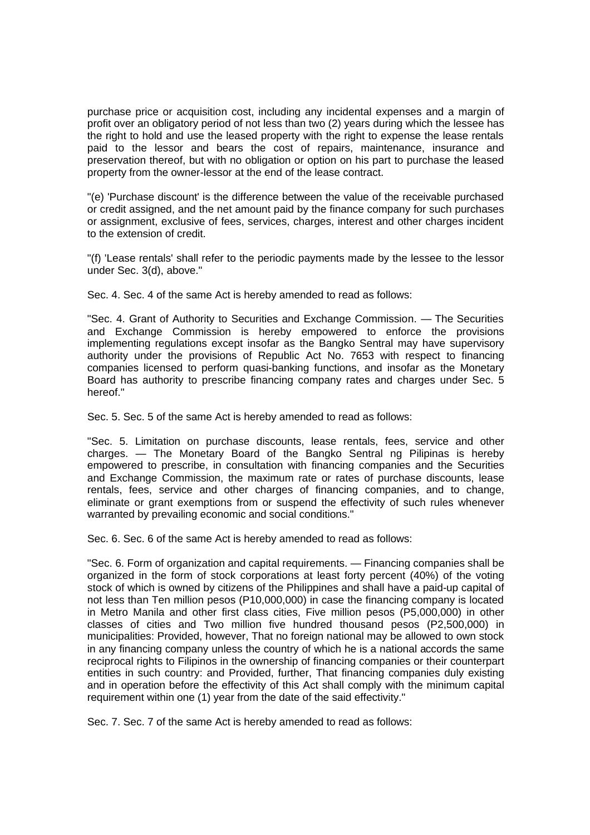purchase price or acquisition cost, including any incidental expenses and a margin of profit over an obligatory period of not less than two (2) years during which the lessee has the right to hold and use the leased property with the right to expense the lease rentals paid to the lessor and bears the cost of repairs, maintenance, insurance and preservation thereof, but with no obligation or option on his part to purchase the leased property from the owner-lessor at the end of the lease contract.

"(e) 'Purchase discount' is the difference between the value of the receivable purchased or credit assigned, and the net amount paid by the finance company for such purchases or assignment, exclusive of fees, services, charges, interest and other charges incident to the extension of credit.

"(f) 'Lease rentals' shall refer to the periodic payments made by the lessee to the lessor under Sec. 3(d), above."

Sec. 4. Sec. 4 of the same Act is hereby amended to read as follows:

"Sec. 4. Grant of Authority to Securities and Exchange Commission. — The Securities and Exchange Commission is hereby empowered to enforce the provisions implementing regulations except insofar as the Bangko Sentral may have supervisory authority under the provisions of Republic Act No. 7653 with respect to financing companies licensed to perform quasi-banking functions, and insofar as the Monetary Board has authority to prescribe financing company rates and charges under Sec. 5 hereof."

Sec. 5. Sec. 5 of the same Act is hereby amended to read as follows:

"Sec. 5. Limitation on purchase discounts, lease rentals, fees, service and other charges. — The Monetary Board of the Bangko Sentral ng Pilipinas is hereby empowered to prescribe, in consultation with financing companies and the Securities and Exchange Commission, the maximum rate or rates of purchase discounts, lease rentals, fees, service and other charges of financing companies, and to change, eliminate or grant exemptions from or suspend the effectivity of such rules whenever warranted by prevailing economic and social conditions."

Sec. 6. Sec. 6 of the same Act is hereby amended to read as follows:

"Sec. 6. Form of organization and capital requirements. — Financing companies shall be organized in the form of stock corporations at least forty percent (40%) of the voting stock of which is owned by citizens of the Philippines and shall have a paid-up capital of not less than Ten million pesos (P10,000,000) in case the financing company is located in Metro Manila and other first class cities, Five million pesos (P5,000,000) in other classes of cities and Two million five hundred thousand pesos (P2,500,000) in municipalities: Provided, however, That no foreign national may be allowed to own stock in any financing company unless the country of which he is a national accords the same reciprocal rights to Filipinos in the ownership of financing companies or their counterpart entities in such country: and Provided, further, That financing companies duly existing and in operation before the effectivity of this Act shall comply with the minimum capital requirement within one (1) year from the date of the said effectivity."

Sec. 7. Sec. 7 of the same Act is hereby amended to read as follows: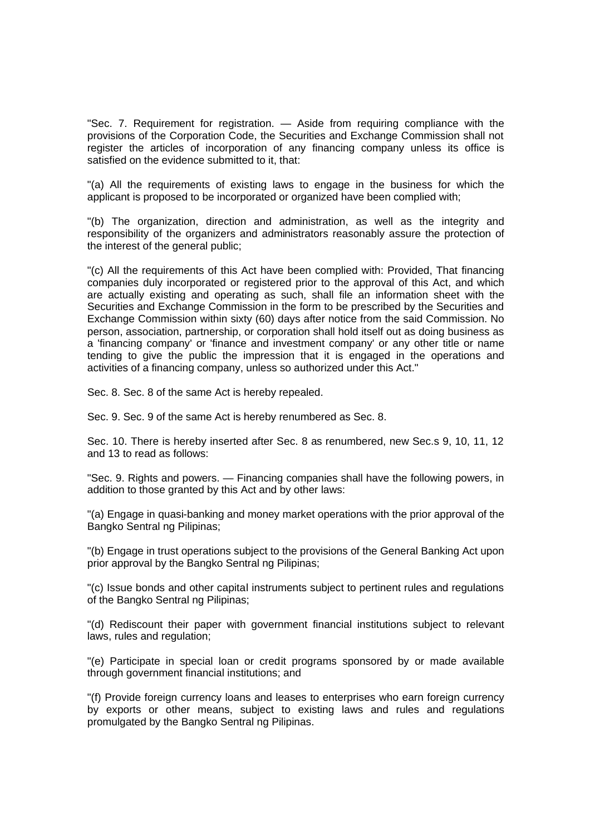"Sec. 7. Requirement for registration. — Aside from requiring compliance with the provisions of the Corporation Code, the Securities and Exchange Commission shall not register the articles of incorporation of any financing company unless its office is satisfied on the evidence submitted to it, that:

"(a) All the requirements of existing laws to engage in the business for which the applicant is proposed to be incorporated or organized have been complied with;

"(b) The organization, direction and administration, as well as the integrity and responsibility of the organizers and administrators reasonably assure the protection of the interest of the general public;

"(c) All the requirements of this Act have been complied with: Provided, That financing companies duly incorporated or registered prior to the approval of this Act, and which are actually existing and operating as such, shall file an information sheet with the Securities and Exchange Commission in the form to be prescribed by the Securities and Exchange Commission within sixty (60) days after notice from the said Commission. No person, association, partnership, or corporation shall hold itself out as doing business as a 'financing company' or 'finance and investment company' or any other title or name tending to give the public the impression that it is engaged in the operations and activities of a financing company, unless so authorized under this Act."

Sec. 8. Sec. 8 of the same Act is hereby repealed.

Sec. 9. Sec. 9 of the same Act is hereby renumbered as Sec. 8.

Sec. 10. There is hereby inserted after Sec. 8 as renumbered, new Sec.s 9, 10, 11, 12 and 13 to read as follows:

"Sec. 9. Rights and powers. — Financing companies shall have the following powers, in addition to those granted by this Act and by other laws:

"(a) Engage in quasi-banking and money market operations with the prior approval of the Bangko Sentral ng Pilipinas;

"(b) Engage in trust operations subject to the provisions of the General Banking Act upon prior approval by the Bangko Sentral ng Pilipinas;

"(c) Issue bonds and other capital instruments subject to pertinent rules and regulations of the Bangko Sentral ng Pilipinas;

"(d) Rediscount their paper with government financial institutions subject to relevant laws, rules and regulation;

"(e) Participate in special loan or credit programs sponsored by or made available through government financial institutions; and

"(f) Provide foreign currency loans and leases to enterprises who earn foreign currency by exports or other means, subject to existing laws and rules and regulations promulgated by the Bangko Sentral ng Pilipinas.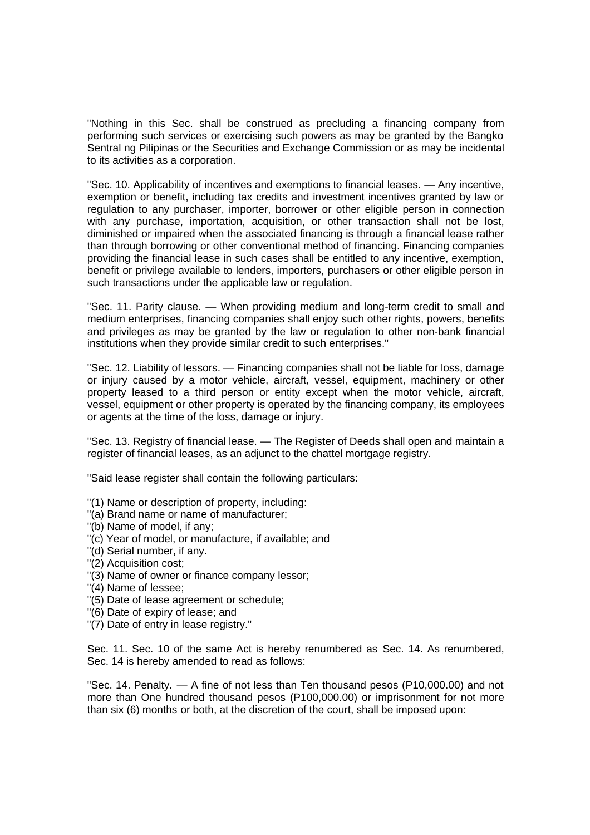"Nothing in this Sec. shall be construed as precluding a financing company from performing such services or exercising such powers as may be granted by the Bangko Sentral ng Pilipinas or the Securities and Exchange Commission or as may be incidental to its activities as a corporation.

"Sec. 10. Applicability of incentives and exemptions to financial leases. — Any incentive, exemption or benefit, including tax credits and investment incentives granted by law or regulation to any purchaser, importer, borrower or other eligible person in connection with any purchase, importation, acquisition, or other transaction shall not be lost, diminished or impaired when the associated financing is through a financial lease rather than through borrowing or other conventional method of financing. Financing companies providing the financial lease in such cases shall be entitled to any incentive, exemption, benefit or privilege available to lenders, importers, purchasers or other eligible person in such transactions under the applicable law or regulation.

"Sec. 11. Parity clause. — When providing medium and long-term credit to small and medium enterprises, financing companies shall enjoy such other rights, powers, benefits and privileges as may be granted by the law or regulation to other non-bank financial institutions when they provide similar credit to such enterprises."

"Sec. 12. Liability of lessors. — Financing companies shall not be liable for loss, damage or injury caused by a motor vehicle, aircraft, vessel, equipment, machinery or other property leased to a third person or entity except when the motor vehicle, aircraft, vessel, equipment or other property is operated by the financing company, its employees or agents at the time of the loss, damage or injury.

"Sec. 13. Registry of financial lease. — The Register of Deeds shall open and maintain a register of financial leases, as an adjunct to the chattel mortgage registry.

"Said lease register shall contain the following particulars:

- "(1) Name or description of property, including:
- "(a) Brand name or name of manufacturer;
- "(b) Name of model, if any;
- "(c) Year of model, or manufacture, if available; and
- "(d) Serial number, if any.
- "(2) Acquisition cost;
- "(3) Name of owner or finance company lessor;
- "(4) Name of lessee;
- "(5) Date of lease agreement or schedule;
- "(6) Date of expiry of lease; and
- "(7) Date of entry in lease registry."

Sec. 11. Sec. 10 of the same Act is hereby renumbered as Sec. 14. As renumbered, Sec. 14 is hereby amended to read as follows:

"Sec. 14. Penalty. — A fine of not less than Ten thousand pesos (P10,000.00) and not more than One hundred thousand pesos (P100,000.00) or imprisonment for not more than six (6) months or both, at the discretion of the court, shall be imposed upon: